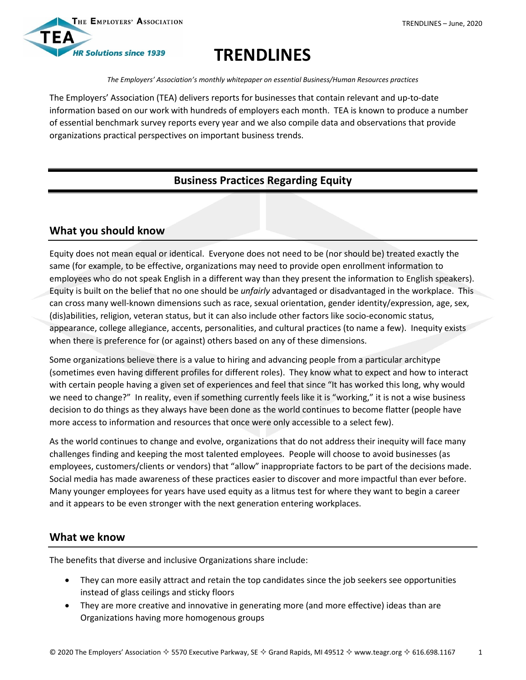

# **TRENDLINES**

*The Employers' Association's monthly whitepaper on essential Business/Human Resources practices*

The Employers' Association (TEA) delivers reports for businesses that contain relevant and up-to-date information based on our work with hundreds of employers each month. TEA is known to produce a number of essential benchmark survey reports every year and we also compile data and observations that provide organizations practical perspectives on important business trends.

# **Business Practices Regarding Equity**

# **What you should know**

Equity does not mean equal or identical. Everyone does not need to be (nor should be) treated exactly the same (for example, to be effective, organizations may need to provide open enrollment information to employees who do not speak English in a different way than they present the information to English speakers). Equity is built on the belief that no one should be *unfairly* advantaged or disadvantaged in the workplace. This can cross many well-known dimensions such as race, sexual orientation, gender identity/expression, age, sex, (dis)abilities, religion, veteran status, but it can also include other factors like socio-economic status, appearance, college allegiance, accents, personalities, and cultural practices (to name a few). Inequity exists when there is preference for (or against) others based on any of these dimensions.

Some organizations believe there is a value to hiring and advancing people from a particular architype (sometimes even having different profiles for different roles). They know what to expect and how to interact with certain people having a given set of experiences and feel that since "It has worked this long, why would we need to change?" In reality, even if something currently feels like it is "working," it is not a wise business decision to do things as they always have been done as the world continues to become flatter (people have more access to information and resources that once were only accessible to a select few).

As the world continues to change and evolve, organizations that do not address their inequity will face many challenges finding and keeping the most talented employees. People will choose to avoid businesses (as employees, customers/clients or vendors) that "allow" inappropriate factors to be part of the decisions made. Social media has made awareness of these practices easier to discover and more impactful than ever before. Many younger employees for years have used equity as a litmus test for where they want to begin a career and it appears to be even stronger with the next generation entering workplaces.

## **What we know**

The benefits that diverse and inclusive Organizations share include:

- They can more easily attract and retain the top candidates since the job seekers see opportunities instead of glass ceilings and sticky floors
- They are more creative and innovative in generating more (and more effective) ideas than are Organizations having more homogenous groups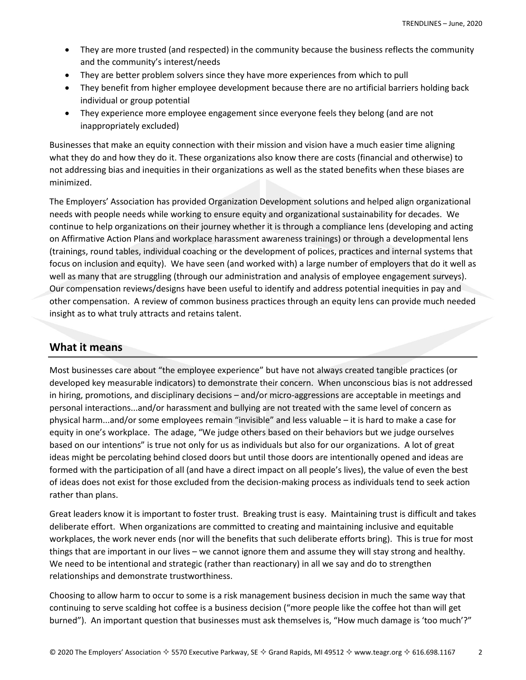- They are more trusted (and respected) in the community because the business reflects the community and the community's interest/needs
- They are better problem solvers since they have more experiences from which to pull
- They benefit from higher employee development because there are no artificial barriers holding back individual or group potential
- They experience more employee engagement since everyone feels they belong (and are not inappropriately excluded)

Businesses that make an equity connection with their mission and vision have a much easier time aligning what they do and how they do it. These organizations also know there are costs (financial and otherwise) to not addressing bias and inequities in their organizations as well as the stated benefits when these biases are minimized.

The Employers' Association has provided Organization Development solutions and helped align organizational needs with people needs while working to ensure equity and organizational sustainability for decades. We continue to help organizations on their journey whether it is through a compliance lens (developing and acting on Affirmative Action Plans and workplace harassment awareness trainings) or through a developmental lens (trainings, round tables, individual coaching or the development of polices, practices and internal systems that focus on inclusion and equity). We have seen (and worked with) a large number of employers that do it well as well as many that are struggling (through our administration and analysis of employee engagement surveys). Our compensation reviews/designs have been useful to identify and address potential inequities in pay and other compensation. A review of common business practices through an equity lens can provide much needed insight as to what truly attracts and retains talent.

### **What it means**

Most businesses care about "the employee experience" but have not always created tangible practices (or developed key measurable indicators) to demonstrate their concern. When unconscious bias is not addressed in hiring, promotions, and disciplinary decisions – and/or micro-aggressions are acceptable in meetings and personal interactions...and/or harassment and bullying are not treated with the same level of concern as physical harm...and/or some employees remain "invisible" and less valuable – it is hard to make a case for equity in one's workplace. The adage, "We judge others based on their behaviors but we judge ourselves based on our intentions" is true not only for us as individuals but also for our organizations. A lot of great ideas might be percolating behind closed doors but until those doors are intentionally opened and ideas are formed with the participation of all (and have a direct impact on all people's lives), the value of even the best of ideas does not exist for those excluded from the decision-making process as individuals tend to seek action rather than plans.

Great leaders know it is important to foster trust. Breaking trust is easy. Maintaining trust is difficult and takes deliberate effort. When organizations are committed to creating and maintaining inclusive and equitable workplaces, the work never ends (nor will the benefits that such deliberate efforts bring). This is true for most things that are important in our lives – we cannot ignore them and assume they will stay strong and healthy. We need to be intentional and strategic (rather than reactionary) in all we say and do to strengthen relationships and demonstrate trustworthiness.

Choosing to allow harm to occur to some is a risk management business decision in much the same way that continuing to serve scalding hot coffee is a business decision ("more people like the coffee hot than will get burned"). An important question that businesses must ask themselves is, "How much damage is 'too much'?"